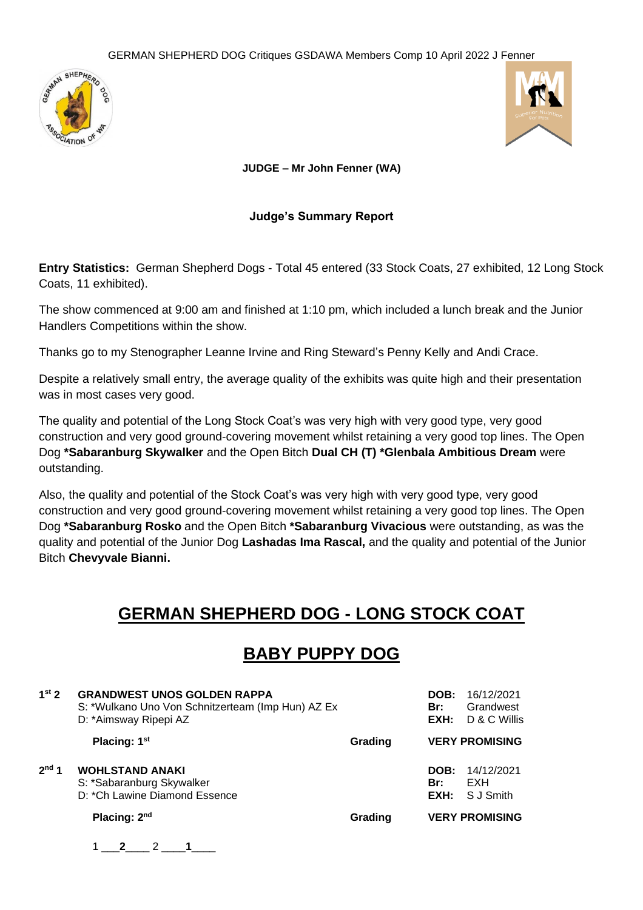



**JUDGE – Mr John Fenner (WA)**

#### **Judge's Summary Report**

**Entry Statistics:** German Shepherd Dogs - Total 45 entered (33 Stock Coats, 27 exhibited, 12 Long Stock Coats, 11 exhibited).

The show commenced at 9:00 am and finished at 1:10 pm, which included a lunch break and the Junior Handlers Competitions within the show.

Thanks go to my Stenographer Leanne Irvine and Ring Steward's Penny Kelly and Andi Crace.

Despite a relatively small entry, the average quality of the exhibits was quite high and their presentation was in most cases very good.

The quality and potential of the Long Stock Coat's was very high with very good type, very good construction and very good ground-covering movement whilst retaining a very good top lines. The Open Dog **\*Sabaranburg Skywalker** and the Open Bitch **Dual CH (T) \*Glenbala Ambitious Dream** were outstanding.

Also, the quality and potential of the Stock Coat's was very high with very good type, very good construction and very good ground-covering movement whilst retaining a very good top lines. The Open Dog **\*Sabaranburg Rosko** and the Open Bitch **\*Sabaranburg Vivacious** were outstanding, as was the quality and potential of the Junior Dog **Lashadas Ima Rascal,** and the quality and potential of the Junior Bitch **Chevyvale Bianni.**

## **GERMAN SHEPHERD DOG - LONG STOCK COAT**

## **BABY PUPPY DOG**

| 1 <sup>st</sup> 2 | <b>GRANDWEST UNOS GOLDEN RAPPA</b><br>S: *Wulkano Uno Von Schnitzerteam (Imp Hun) AZ Ex<br>D: *Aimsway Ripepi AZ |         | DOB:<br>Br:<br>EXH: | 16/12/2021<br>Grandwest<br>D & C Willis |
|-------------------|------------------------------------------------------------------------------------------------------------------|---------|---------------------|-----------------------------------------|
|                   | Placing: 1 <sup>st</sup>                                                                                         | Grading |                     | <b>VERY PROMISING</b>                   |
| 2 <sup>nd</sup> 1 | <b>WOHLSTAND ANAKI</b><br>S: *Sabaranburg Skywalker<br>D: *Ch Lawine Diamond Essence                             |         | DOB:<br>Br:<br>EXH: | 14/12/2021<br>EXH<br>S J Smith          |
|                   | Placing: $2nd$                                                                                                   | Grading |                     | <b>VERY PROMISING</b>                   |
|                   | $-2$                                                                                                             |         |                     |                                         |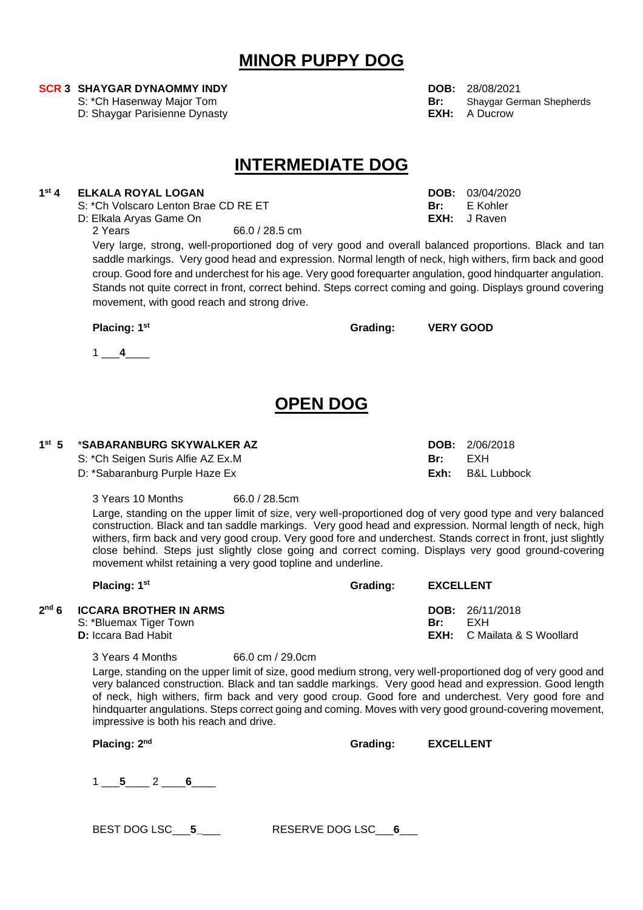### **MINOR PUPPY DOG**

D: Shaygar Parisienne Dynasty

## **INTERMEDIATE DOG**

#### $1<sup>st</sup>$  4 **st 4 ELKALA ROYAL LOGAN DOB:** 03/04/2020

S: <sup>\*</sup>Ch Volscaro Lenton Brae CD RE ET **Br:** Br: B Kohler<br>
D: Elkala Arvas Game On Brae CD RE ET Br: B B**XH:** J Raven

D: Elkala Aryas Game On<br>2 Years

66.0 / 28.5 cm

Very large, strong, well-proportioned dog of very good and overall balanced proportions. Black and tan saddle markings. Very good head and expression. Normal length of neck, high withers, firm back and good croup. Good fore and underchest for his age. Very good forequarter angulation, good hindquarter angulation. Stands not quite correct in front, correct behind. Steps correct coming and going. Displays ground covering movement, with good reach and strong drive.

 $1 - 4$ 

## **OPEN DOG**

| 1 <sup>st</sup> 5 *SABARANBURG SKYWALKER AZ |  |
|---------------------------------------------|--|
|---------------------------------------------|--|

S: \*Ch Seigen Suris Alfie AZ Ex.M **Br:** EXH

D: \*Sabaranburg Purple Haze Ex **Exh:** B&L Lubbock

3 Years 10 Months 66.0 / 28.5cm

Large, standing on the upper limit of size, very well-proportioned dog of very good type and very balanced construction. Black and tan saddle markings. Very good head and expression. Normal length of neck, high withers, firm back and very good croup. Very good fore and underchest. Stands correct in front, just slightly close behind. Steps just slightly close going and correct coming. Displays very good ground-covering movement whilst retaining a very good topline and underline.

| Placing: 1 <sup>st</sup>                                                               | Grading: | <b>EXCELLENT</b> |                                                                       |
|----------------------------------------------------------------------------------------|----------|------------------|-----------------------------------------------------------------------|
| $2nd 6$ ICCARA BROTHER IN ARMS<br>S: *Bluemax Tiger Town<br><b>D:</b> Iccara Bad Habit |          | Br:              | <b>DOB:</b> $26/11/2018$<br>FXH<br><b>EXH:</b> C Mailata & S Woollard |

3 Years 4 Months 66.0 cm / 29.0cm

Large, standing on the upper limit of size, good medium strong, very well-proportioned dog of very good and very balanced construction. Black and tan saddle markings. Very good head and expression. Good length of neck, high withers, firm back and very good croup. Good fore and underchest. Very good fore and hindquarter angulations. Steps correct going and coming. Moves with very good ground-covering movement, impressive is both his reach and drive.

**Placing: 2**

| Grading: | <b>EXCELLENT</b> |
|----------|------------------|
|          |                  |

1 \_\_\_**5**\_\_\_\_ 2 \_\_\_\_**6**\_\_\_\_

BEST DOG LSC\_\_\_**5\_**\_\_\_ RESERVE DOG LSC\_\_\_**6**\_\_\_

**SCR 3 SHAYGAR DYNAOMMY INDY**<br>
S: \*Ch Hasenway Major Tom **DOB:** 28/08/2021<br>
Br: Shaygar German Shepherds S: \*Ch Hasenway Major Tom **Br:** Shaygar German Shepherds Shepherds Shepherds Shepherds Shepherds Shepherds Shepherds Shepherds Shepherds Shepherds Shepherds Shepherds Shepherds Shepherds Shepherds Shepherds Shepherds Sheph

**bob:**  $2/06/2018$ 

**Placing: 1st Grading: VERY GOOD**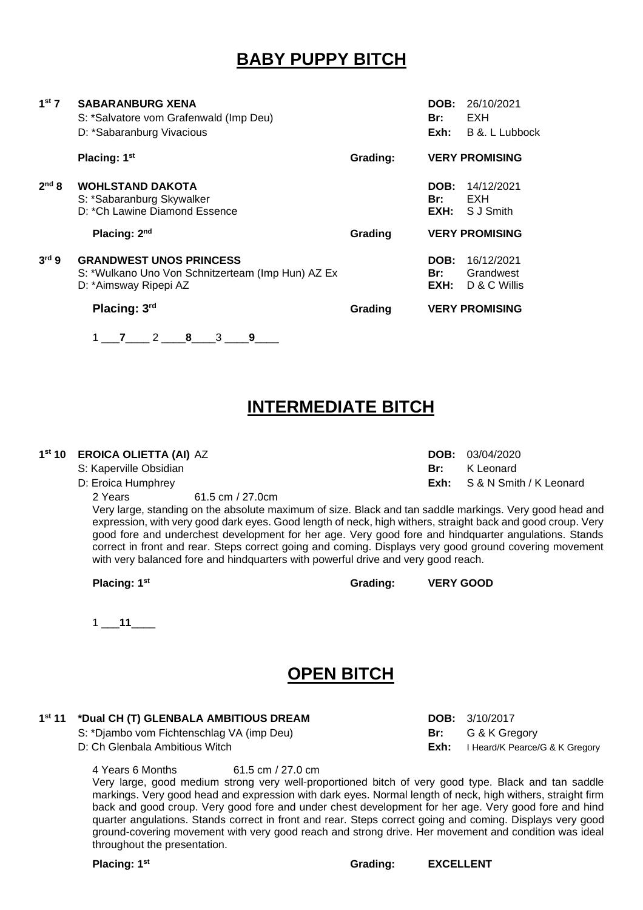# **BABY PUPPY BITCH**

| $1st$ 7           | <b>SABARANBURG XENA</b><br>S: *Salvatore vom Grafenwald (Imp Deu)<br>D: *Sabaranburg Vivacious               |          | DOB:<br>Br:<br>Exh:        | 26/10/2021<br>EXH<br>B &. L Lubbock     |
|-------------------|--------------------------------------------------------------------------------------------------------------|----------|----------------------------|-----------------------------------------|
|                   | Placing: 1 <sup>st</sup>                                                                                     | Grading: |                            | <b>VERY PROMISING</b>                   |
| 2 <sup>nd</sup> 8 | <b>WOHLSTAND DAKOTA</b><br>S: *Sabaranburg Skywalker<br>D: *Ch Lawine Diamond Essence                        |          | DOB:<br>Br:<br>EXH:        | 14/12/2021<br>EXH<br>S J Smith          |
|                   | Placing: 2 <sup>nd</sup>                                                                                     | Grading  |                            | <b>VERY PROMISING</b>                   |
| 3 <sup>rd</sup> 9 | <b>GRANDWEST UNOS PRINCESS</b><br>S: *Wulkano Uno Von Schnitzerteam (Imp Hun) AZ Ex<br>D: *Aimsway Ripepi AZ |          | <b>DOB:</b><br>Br:<br>EXH: | 16/12/2021<br>Grandwest<br>D & C Willis |
|                   | Placing: 3rd                                                                                                 | Grading  |                            | <b>VERY PROMISING</b>                   |
|                   | 3<br>2<br>9<br>8<br>7                                                                                        |          |                            |                                         |

## **INTERMEDIATE BITCH**

#### **1 st 10 EROICA OLIETTA (AI)** AZ **DOB:** 03/04/2020

2 Years 61.5 cm / 27.0cm

Very large, standing on the absolute maximum of size. Black and tan saddle markings. Very good head and expression, with very good dark eyes. Good length of neck, high withers, straight back and good croup. Very good fore and underchest development for her age. Very good fore and hindquarter angulations. Stands correct in front and rear. Steps correct going and coming. Displays very good ground covering movement with very balanced fore and hindquarters with powerful drive and very good reach.

**Placing: 1st Grading: VERY GOOD**

1 \_\_\_**11**\_\_\_\_

## **OPEN BITCH**

#### 1<sup>st</sup> 11 **st 11 \*Dual CH (T) GLENBALA AMBITIOUS DREAM DOB:** 3/10/2017

S: \*Djambo vom Fichtenschlag VA (imp Deu) **Br:** G & K Gregory

D: Ch Glenbala Ambitious Witch **Exh:** I Heard/K Pearce/G & K Gregory

4 Years 6 Months 61.5 cm / 27.0 cm

Very large, good medium strong very well-proportioned bitch of very good type. Black and tan saddle markings. Very good head and expression with dark eyes. Normal length of neck, high withers, straight firm back and good croup. Very good fore and under chest development for her age. Very good fore and hind quarter angulations. Stands correct in front and rear. Steps correct going and coming. Displays very good ground-covering movement with very good reach and strong drive. Her movement and condition was ideal throughout the presentation.

**Placing: 1st Grading: EXCELLENT**

D: Eroica Humphrey **Exh:** S & N Smith / K Leonard

S: Kaperville Obsidian **Britannic Communist Communist Communist Communist Communist Communist Communist Communist Communist Communist Communist Communist Communist Communist Communist Communist Communist Communist Communis**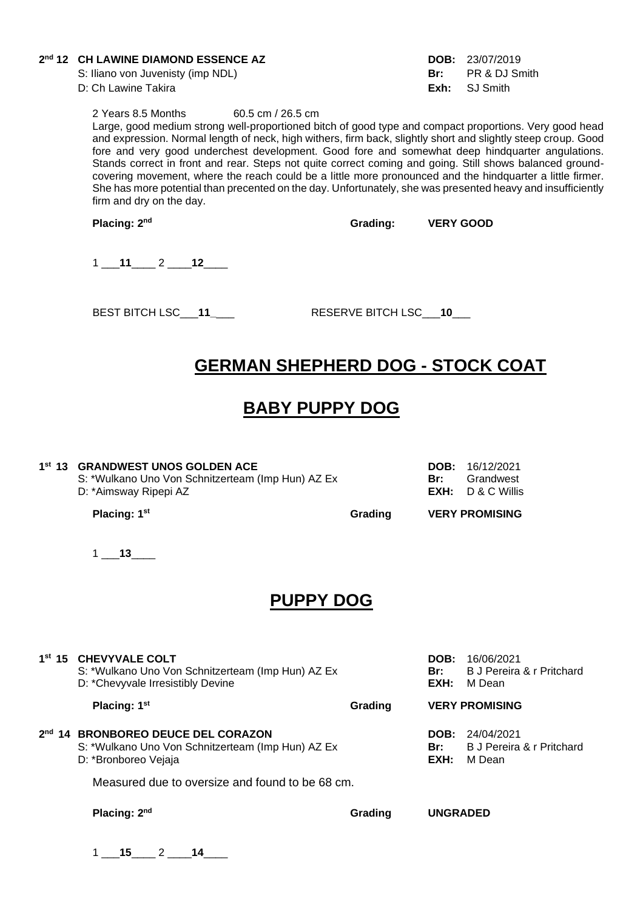#### **2 nd 12 CH LAWINE DIAMOND ESSENCE AZ DOB:** 23/07/2019

S: Iliano von Juvenisty (imp NDL) **Br:** PR & DJ Smith D: Ch Lawine Takira **Exh:** SJ Smith

2 Years 8.5 Months 60.5 cm / 26.5 cm

Large, good medium strong well-proportioned bitch of good type and compact proportions. Very good head and expression. Normal length of neck, high withers, firm back, slightly short and slightly steep croup. Good fore and very good underchest development. Good fore and somewhat deep hindquarter angulations. Stands correct in front and rear. Steps not quite correct coming and going. Still shows balanced groundcovering movement, where the reach could be a little more pronounced and the hindquarter a little firmer. She has more potential than precented on the day. Unfortunately, she was presented heavy and insufficiently firm and dry on the day.

**Placing: 2**

**nd Grading: VERY GOOD**

1 \_\_\_**11**\_\_\_\_ 2 \_\_\_\_**12**\_\_\_\_

BEST BITCH LSC\_\_\_**11\_**\_\_\_ RESERVE BITCH LSC\_\_\_**10**\_\_\_

# **GERMAN SHEPHERD DOG - STOCK COAT**

## **BABY PUPPY DOG**

#### **1 st 13 GRANDWEST UNOS GOLDEN ACE DOB:** 16/12/2021

S: \*Wulkano Uno Von Schnitzerteam (Imp Hun) AZ Ex **Br:** Grandwest<br>D: \*Aimswav Ripepi AZ **Britan Az Britan Container Active AC C** Willis D: \*Aimsway Ripepi AZ

**Placing: 1<sup>st</sup> CRADING Grading VERY PROMISING** 

1 \_\_\_**13**\_\_\_\_

### **PUPPY DOG**

**1 st 15 CHEVYVALE COLT DOB:** 16/06/2021 S: \*Wulkano Uno Von Schnitzerteam (Imp Hun) AZ Ex **Br:** B J Pereira & r Pritchard<br>D: \*Chevyvale Irresistibly Devine **Britter Britter Britter Britter Britter** M Dean D: \*Chevyvale Irresistibly Devine **Placing: 1st Grading VERY PROMISING**

**2 nd 14 BRONBOREO DEUCE DEL CORAZON DOB:** 24/04/2021 S: \*Wulkano Uno Von Schnitzerteam (Imp Hun) AZ Ex **Br: B J Pereira & r Pritchard** D: \*Bronboreo Vejaja **EXH:** M Dean

Measured due to oversize and found to be 68 cm.

**Placing: 2nd Grading UNGRADED**

1 \_\_\_**15**\_\_\_\_ 2 \_\_\_\_**14**\_\_\_\_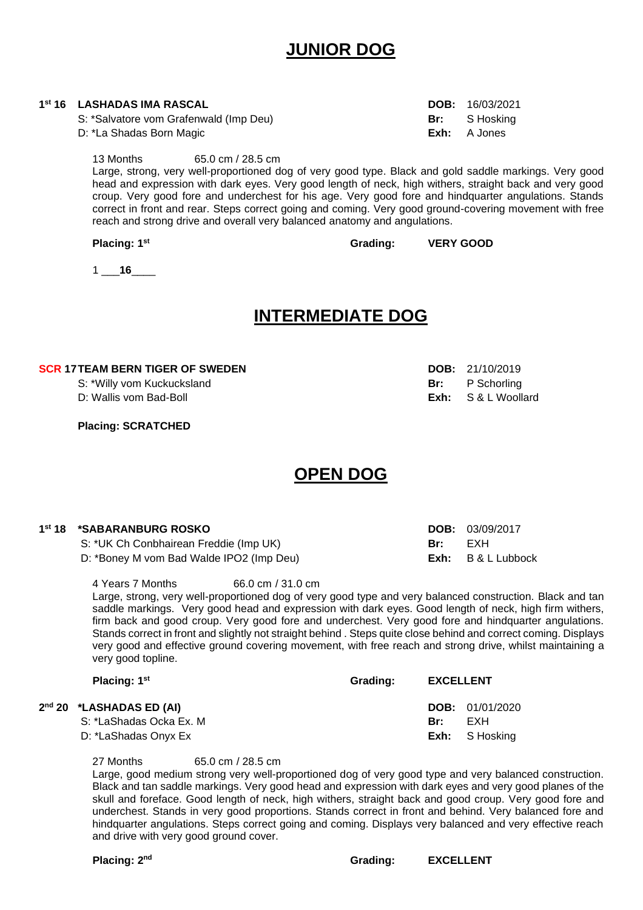## **JUNIOR DOG**

| 1 <sup>st</sup> 16 LASHADAS IMA RASCAL | <b>DOB:</b> $16/03/2021$ |
|----------------------------------------|--------------------------|
| S: *Salvatore vom Grafenwald (Imp Deu) | <b>Br:</b> S Hosking     |
| D: *La Shadas Born Magic               | <b>Exh:</b> A Jones      |
|                                        |                          |

13 Months 65.0 cm / 28.5 cm Large, strong, very well-proportioned dog of very good type. Black and gold saddle markings. Very good head and expression with dark eyes. Very good length of neck, high withers, straight back and very good croup. Very good fore and underchest for his age. Very good fore and hindquarter angulations. Stands correct in front and rear. Steps correct going and coming. Very good ground-covering movement with free reach and strong drive and overall very balanced anatomy and angulations.

**Placing: 1<sup>st</sup> Crading: VERY GOOD** 

1 \_\_\_**16**\_\_\_\_

### **INTERMEDIATE DOG**

#### **SCR 17TEAM BERN TIGER OF SWEDEN DOB:** 21/10/2019

**Placing: SCRATCHED**

## **OPEN DOG**

| 1st 18 *SABARANBURG ROSKO                |     | DOB: 03/09/2017      |
|------------------------------------------|-----|----------------------|
| S: *UK Ch Conbhairean Freddie (Imp UK)   | Br: | FXH                  |
| D: *Boney M vom Bad Walde IPO2 (Imp Deu) |     | $Exh: B & L$ Lubbock |

4 Years 7 Months 66.0 cm / 31.0 cm

Large, strong, very well-proportioned dog of very good type and very balanced construction. Black and tan saddle markings. Very good head and expression with dark eyes. Good length of neck, high firm withers, firm back and good croup. Very good fore and underchest. Very good fore and hindquarter angulations. Stands correct in front and slightly not straight behind . Steps quite close behind and correct coming. Displays very good and effective ground covering movement, with free reach and strong drive, whilst maintaining a very good topline.

| Placing: 1 <sup>st</sup>             | Grading: | <b>EXCELLENT</b> |                        |
|--------------------------------------|----------|------------------|------------------------|
| 2 <sup>nd</sup> 20 *LASHADAS ED (AI) |          |                  | <b>DOB:</b> 01/01/2020 |
| S: *LaShadas Ocka Ex. M              |          | Br:              | FXH                    |
| D: *LaShadas Onyx Ex                 |          |                  | <b>Exh:</b> S Hosking  |

27 Months 65.0 cm / 28.5 cm

Large, good medium strong very well-proportioned dog of very good type and very balanced construction. Black and tan saddle markings. Very good head and expression with dark eyes and very good planes of the skull and foreface. Good length of neck, high withers, straight back and good croup. Very good fore and underchest. Stands in very good proportions. Stands correct in front and behind. Very balanced fore and hindquarter angulations. Steps correct going and coming. Displays very balanced and very effective reach and drive with very good ground cover.

#### **Placing: 2**

**nd Grading: EXCELLENT**

- 
- S: \*Willy vom Kuckucksland **Br:** P Schorling D: Wallis vom Bad-Boll **Exh:** S & L Woollard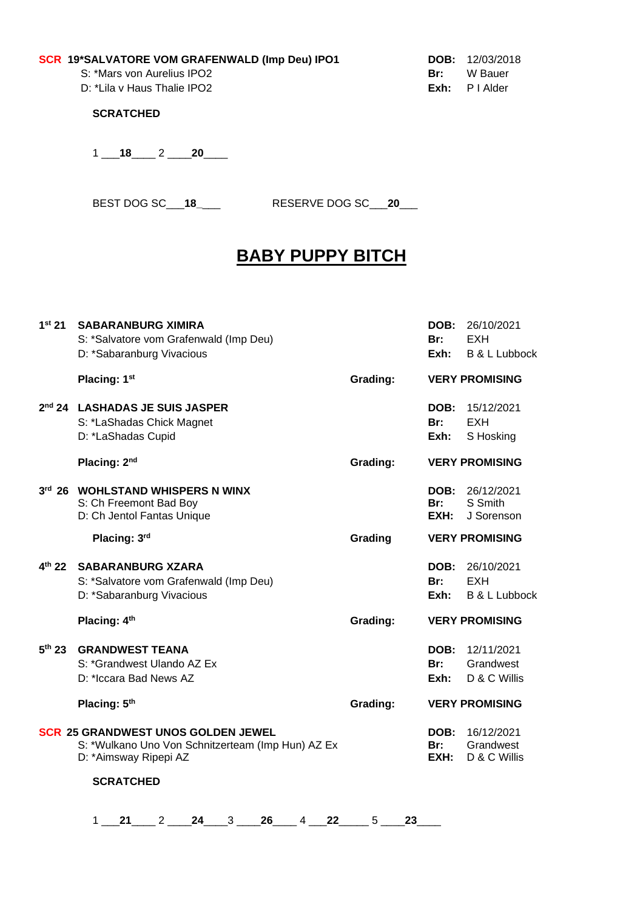#### **SCR 19\*SALVATORE VOM GRAFENWALD (Imp Deu) IPO1 DOB:** 12/03/2018

S: \*Mars von Aurelius IPO2 **Br:** W Bauer<br>D: \*Lila v Haus Thalie IPO2 **Br: Br:** Br: P I Alder D: \*Lila v Haus Thalie IPO<sub>2</sub>

**SCRATCHED**

1 \_\_\_**18**\_\_\_\_ 2 \_\_\_\_**20**\_\_\_\_

BEST DOG SC\_\_\_**18\_**\_\_\_ RESERVE DOG SC\_\_\_**20**\_\_\_

# **BABY PUPPY BITCH**

| 1 <sup>st</sup> 21 | <b>SABARANBURG XIMIRA</b><br>S: *Salvatore vom Grafenwald (Imp Deu)<br>D: *Sabaranburg Vivacious                                            |  |  |  |                      |    | DOB:<br>Br:<br>Exh: | 26/10/2021<br><b>EXH</b><br><b>B &amp; L Lubbock</b> |
|--------------------|---------------------------------------------------------------------------------------------------------------------------------------------|--|--|--|----------------------|----|---------------------|------------------------------------------------------|
|                    | Placing: 1st                                                                                                                                |  |  |  | Grading:             |    |                     | <b>VERY PROMISING</b>                                |
| 2 <sup>nd</sup> 24 | <b>LASHADAS JE SUIS JASPER</b><br>S: *LaShadas Chick Magnet<br>D: *LaShadas Cupid                                                           |  |  |  |                      |    | DOB:<br>Br:<br>Exh: | 15/12/2021<br><b>EXH</b><br>S Hosking                |
|                    | Placing: 2 <sup>nd</sup>                                                                                                                    |  |  |  | Grading:             |    |                     | <b>VERY PROMISING</b>                                |
|                    | 3rd 26 WOHLSTAND WHISPERS N WINX<br>S: Ch Freemont Bad Boy<br>D: Ch Jentol Fantas Unique                                                    |  |  |  |                      |    | DOB:<br>Br:<br>EXH: | 26/12/2021<br>S Smith<br>J Sorenson                  |
|                    | Placing: 3rd                                                                                                                                |  |  |  | Grading              |    |                     | <b>VERY PROMISING</b>                                |
| $4^{th}$ 22        | <b>SABARANBURG XZARA</b><br>S: *Salvatore vom Grafenwald (Imp Deu)<br>D: *Sabaranburg Vivacious                                             |  |  |  |                      |    | DOB:<br>Br:<br>Exh: | 26/10/2021<br><b>EXH</b><br><b>B &amp; L Lubbock</b> |
|                    | Placing: 4th                                                                                                                                |  |  |  | Grading:             |    |                     | <b>VERY PROMISING</b>                                |
| 5 <sup>th</sup> 23 | <b>GRANDWEST TEANA</b><br>S: *Grandwest Ulando AZ Ex<br>D: *Iccara Bad News AZ                                                              |  |  |  |                      |    | DOB:<br>Br:<br>Exh: | 12/11/2021<br>Grandwest<br>D & C Willis              |
|                    | Placing: 5th                                                                                                                                |  |  |  | Grading:             |    |                     | <b>VERY PROMISING</b>                                |
|                    | <b>SCR 25 GRANDWEST UNOS GOLDEN JEWEL</b><br>S: *Wulkano Uno Von Schnitzerteam (Imp Hun) AZ Ex<br>D: *Aimsway Ripepi AZ<br><b>SCRATCHED</b> |  |  |  |                      |    | DOB:<br>Br:<br>EXH: | 16/12/2021<br>Grandwest<br>D & C Willis              |
|                    |                                                                                                                                             |  |  |  |                      |    |                     |                                                      |
|                    | $1$ 21 2 24 3                                                                                                                               |  |  |  | $26 \t 4 \t 22 \t 5$ | 23 |                     |                                                      |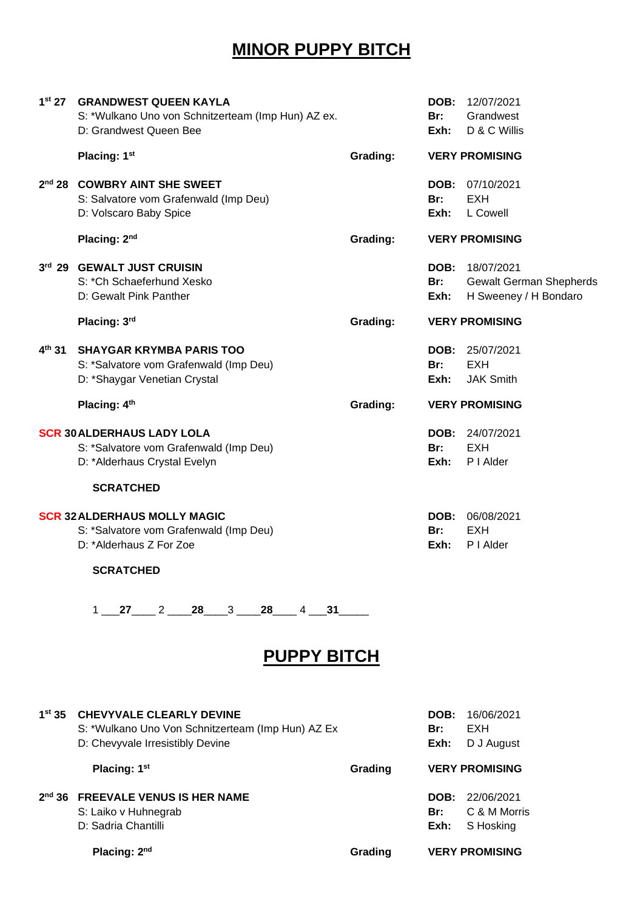# **MINOR PUPPY BITCH**

| 1 <sup>st</sup> 27 | <b>GRANDWEST QUEEN KAYLA</b><br>S: *Wulkano Uno von Schnitzerteam (Imp Hun) AZ ex.<br>D: Grandwest Queen Bee                    |          | Br:<br>Exh:                | DOB: 12/07/2021<br>Grandwest<br>D & C Willis                          |
|--------------------|---------------------------------------------------------------------------------------------------------------------------------|----------|----------------------------|-----------------------------------------------------------------------|
|                    | Placing: 1st                                                                                                                    | Grading: |                            | <b>VERY PROMISING</b>                                                 |
| 2 <sup>nd</sup> 28 | <b>COWBRY AINT SHE SWEET</b><br>S: Salvatore vom Grafenwald (Imp Deu)<br>D: Volscaro Baby Spice                                 |          | <b>DOB:</b><br>Br:<br>Exh: | 07/10/2021<br>EXH<br>L Cowell                                         |
|                    | Placing: 2nd                                                                                                                    | Grading: |                            | <b>VERY PROMISING</b>                                                 |
|                    | 3rd 29 GEWALT JUST CRUISIN<br>S: *Ch Schaeferhund Xesko<br>D: Gewalt Pink Panther                                               |          | DOB:<br>Br:<br>Exh:        | 18/07/2021<br><b>Gewalt German Shepherds</b><br>H Sweeney / H Bondaro |
|                    | Placing: 3rd                                                                                                                    | Grading: |                            | <b>VERY PROMISING</b>                                                 |
| $4^{\text{th}}$ 31 | <b>SHAYGAR KRYMBA PARIS TOO</b><br>S: *Salvatore vom Grafenwald (Imp Deu)<br>D: *Shaygar Venetian Crystal                       |          | Br:<br>Exh:                | DOB: 25/07/2021<br><b>EXH</b><br><b>JAK Smith</b>                     |
|                    | Placing: 4th                                                                                                                    | Grading: |                            | <b>VERY PROMISING</b>                                                 |
|                    | <b>SCR 30 ALDERHAUS LADY LOLA</b><br>S: *Salvatore vom Grafenwald (Imp Deu)<br>D: *Alderhaus Crystal Evelyn<br><b>SCRATCHED</b> |          | Br:<br>Exh:                | <b>DOB:</b> 24/07/2021<br><b>EXH</b><br>P I Alder                     |
|                    | <b>SCR 32 ALDERHAUS MOLLY MAGIC</b><br>S: *Salvatore vom Grafenwald (Imp Deu)<br>D: *Alderhaus Z For Zoe<br><b>SCRATCHED</b>    |          | <b>DOB:</b><br>Br:<br>Exh: | 06/08/2021<br><b>EXH</b><br>P I Alder                                 |
|                    | $1$ 27 2 28 3 28 4 31                                                                                                           |          |                            |                                                                       |
|                    | <b>PUPPY BITCH</b>                                                                                                              |          |                            |                                                                       |
| 1 <sup>st</sup> 35 | <b>CHEVYVALE CLEARLY DEVINE</b><br>S: *Wulkano Uno Von Schnitzerteam (Imp Hun) AZ Ex<br>D: Chevyvale Irresistibly Devine        |          | DOB:<br>Br:<br>Exh:        | 16/06/2021<br>EXH<br>D J August                                       |
|                    | Placing: 1st                                                                                                                    | Grading  |                            | <b>VERY PROMISING</b>                                                 |

#### **2 nd 36 FREEVALE VENUS IS HER NAME DOB:** 22/06/2021 S: Laiko v Huhnegrab **Br:** C & M Morris D: Sadria Chantilli **Exh:** S Hosking

**Placing: 2<sup>nd</sup> Grading VERY PROMISING**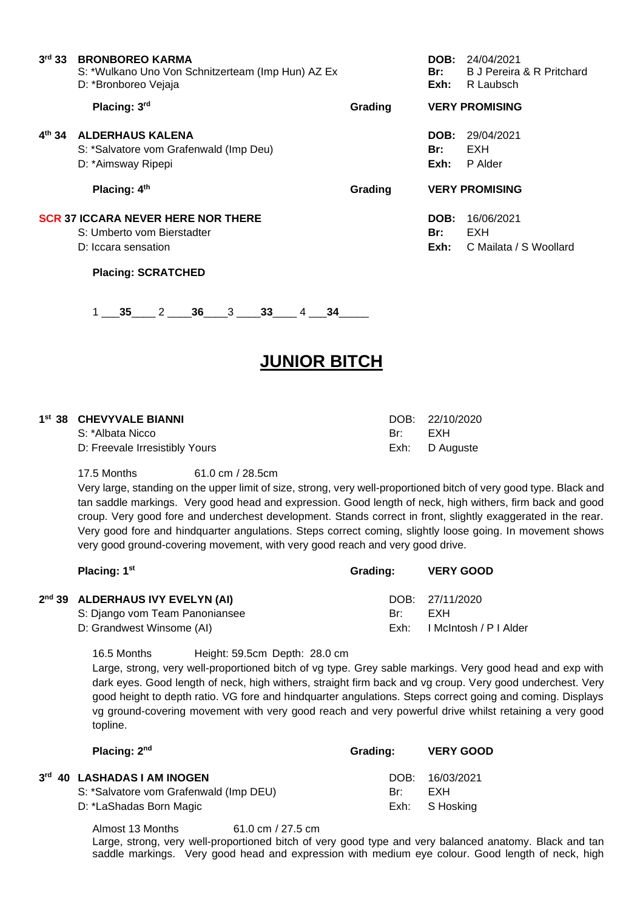| 3 <sup>rd</sup> 33 | <b>BRONBOREO KARMA</b><br>S: *Wulkano Uno Von Schnitzerteam (Imp Hun) AZ Ex<br>D: *Bronboreo Vejaja |         | DOB:<br>Br:<br>Exh: | 24/04/2021<br><b>B J Pereira &amp; R Pritchard</b><br>R Laubsch |
|--------------------|-----------------------------------------------------------------------------------------------------|---------|---------------------|-----------------------------------------------------------------|
|                    | Placing: 3rd                                                                                        | Grading |                     | <b>VERY PROMISING</b>                                           |
| $4^{th}$ 34        | <b>ALDERHAUS KALENA</b><br>S: *Salvatore vom Grafenwald (Imp Deu)<br>D: *Aimsway Ripepi             |         | DOB:<br>Br:<br>Exh: | 29/04/2021<br>EXH<br>P Alder                                    |
|                    | Placing: 4th                                                                                        | Grading |                     | <b>VERY PROMISING</b>                                           |
|                    | <b>SCR 37 ICCARA NEVER HERE NOR THERE</b><br>S: Umberto vom Bierstadter<br>D: Iccara sensation      |         | DOB:<br>Br:<br>Exh: | 16/06/2021<br>EXH<br>C Mailata / S Woollard                     |

1 \_\_\_**35**\_\_\_\_ 2 \_\_\_\_**36**\_\_\_\_3 \_\_\_\_**33**\_\_\_\_ 4 \_\_\_**34**\_\_\_\_\_

## **JUNIOR BITCH**

#### **1 st 38 CHEVYVALE BIANNI** DOB: 22/10/2020

**3**

S: \*Albata Nicco Br: EXH D: Freevale Irresistibly Yours **Exh:** D Auguste

**Placing: SCRATCHED**

#### 17.5 Months 61.0 cm / 28.5cm

Very large, standing on the upper limit of size, strong, very well-proportioned bitch of very good type. Black and tan saddle markings. Very good head and expression. Good length of neck, high withers, firm back and good croup. Very good fore and underchest development. Stands correct in front, slightly exaggerated in the rear. Very good fore and hindquarter angulations. Steps correct coming, slightly loose going. In movement shows very good ground-covering movement, with very good reach and very good drive.

| Placing: 1 <sup>st</sup>         | Grading: | <b>VERY GOOD</b>       |
|----------------------------------|----------|------------------------|
| 2nd 39 ALDERHAUS IVY EVELYN (AI) |          | DOB: 27/11/2020        |
| S: Django vom Team Panoniansee   | Br:      | EXH                    |
| D: Grandwest Winsome (AI)        | Exh:     | I McIntosh / P I Alder |
|                                  |          |                        |

16.5 Months Height: 59.5cm Depth: 28.0 cm

Large, strong, very well-proportioned bitch of vg type. Grey sable markings. Very good head and exp with dark eyes. Good length of neck, high withers, straight firm back and vg croup. Very good underchest. Very good height to depth ratio. VG fore and hindquarter angulations. Steps correct going and coming. Displays vg ground-covering movement with very good reach and very powerful drive whilst retaining a very good topline.

| Placing: 2nd                                                                                               | Grading: | <b>VERY GOOD</b>                         |
|------------------------------------------------------------------------------------------------------------|----------|------------------------------------------|
| <sup>rd</sup> 40 LASHADAS I AM INOGEN<br>S: *Salvatore vom Grafenwald (Imp DEU)<br>D: *LaShadas Born Magic | Br:      | DOB: 16/03/2021<br>FXH<br>Exh: S Hosking |
|                                                                                                            |          |                                          |

Almost 13 Months 61.0 cm / 27.5 cm

Large, strong, very well-proportioned bitch of very good type and very balanced anatomy. Black and tan saddle markings. Very good head and expression with medium eye colour. Good length of neck, high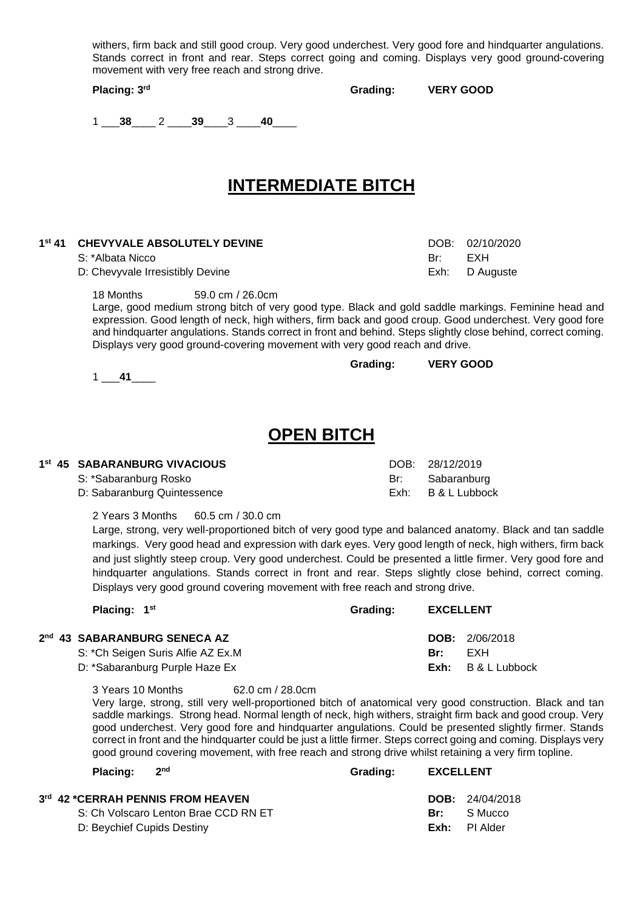|                                                 |  |  |  |  |  |  | withers, firm back and still good croup. Very good underchest. Very good fore and hindquarter angulations. |  |
|-------------------------------------------------|--|--|--|--|--|--|------------------------------------------------------------------------------------------------------------|--|
|                                                 |  |  |  |  |  |  | Stands correct in front and rear. Steps correct going and coming. Displays very good ground-covering       |  |
| movement with very free reach and strong drive. |  |  |  |  |  |  |                                                                                                            |  |

**Placing: 3**

Grading: **VERY GOOD** 

**Grading: VERY GOOD**

1 \_\_\_**38**\_\_\_\_ 2 \_\_\_\_**39**\_\_\_\_3 \_\_\_\_**40**\_\_\_\_

## **INTERMEDIATE BITCH**

#### **1 st 41 CHEVYVALE ABSOLUTELY DEVINE** DOB: 02/10/2020

S: \*Albata Nicco Br: EXH

1 \_\_\_**41**\_\_\_\_

**2 nd**

**3**

D: Chevyvale Irresistibly Devine **Exh:** D Auguste

18 Months 59.0 cm / 26.0cm

Large, good medium strong bitch of very good type. Black and gold saddle markings. Feminine head and expression. Good length of neck, high withers, firm back and good croup. Good underchest. Very good fore and hindquarter angulations. Stands correct in front and behind. Steps slightly close behind, correct coming. Displays very good ground-covering movement with very good reach and drive.

#### **OPEN BITCH**

#### **1 st 45 SABARANBURG VIVACIOUS** DOB: 28/12/2019 S: \*Sabaranburg Rosko Br: Sabaranburg Br: Sabaranburg Br: Sabaranburg D: Sabaranburg Quintessence Exh: B & L Lubbock

2 Years 3 Months 60.5 cm / 30.0 cm

Large, strong, very well-proportioned bitch of very good type and balanced anatomy. Black and tan saddle markings. Very good head and expression with dark eyes. Very good length of neck, high withers, firm back and just slightly steep croup. Very good underchest. Could be presented a little firmer. Very good fore and hindquarter angulations. Stands correct in front and rear. Steps slightly close behind, correct coming. Displays very good ground covering movement with free reach and strong drive.

| Placing: 1 <sup>st</sup>          | Grading: | <b>EXCELLENT</b> |                         |  |
|-----------------------------------|----------|------------------|-------------------------|--|
| <b>43 SABARANBURG SENECA AZ</b>   |          |                  | <b>DOB:</b> $2/06/2018$ |  |
| S: *Ch Seigen Suris Alfie AZ Ex.M |          | Br:              | FXH                     |  |
| D: *Sabaranburg Purple Haze Ex    |          | Exh:             | B & L Lubbock           |  |

3 Years 10 Months 62.0 cm / 28.0cm

Very large, strong, still very well-proportioned bitch of anatomical very good construction. Black and tan saddle markings. Strong head. Normal length of neck, high withers, straight firm back and good croup. Very good underchest. Very good fore and hindquarter angulations. Could be presented slightly firmer. Stands correct in front and the hindquarter could be just a little firmer. Steps correct going and coming. Displays very good ground covering movement, with free reach and strong drive whilst retaining a very firm topline.

| Placing: $2nd$ |                                                                                                                   | Grading: | <b>EXCELLENT</b> |                                                                        |
|----------------|-------------------------------------------------------------------------------------------------------------------|----------|------------------|------------------------------------------------------------------------|
|                | <sup>rd</sup> 42 *CERRAH PENNIS FROM HEAVEN<br>S: Ch Volscaro Lenton Brae CCD RN ET<br>D: Beychief Cupids Destiny |          |                  | <b>DOB:</b> $24/04/2018$<br><b>Br:</b> S Mucco<br><b>Exh:</b> PI Alder |